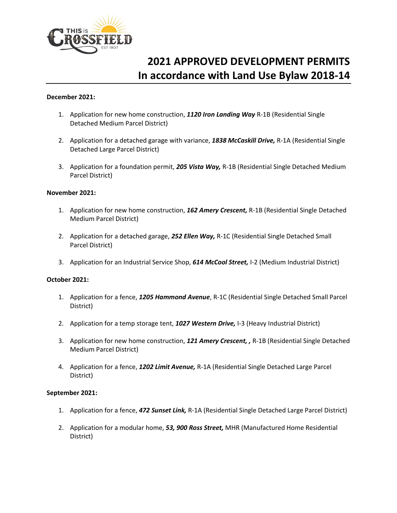

# **2021 APPROVED DEVELOPMENT PERMITS In accordance with Land Use Bylaw 2018-14**

#### **December 2021:**

- 1. Application for new home construction, *1120 Iron Landing Way* R-1B (Residential Single Detached Medium Parcel District)
- 2. Application for a detached garage with variance, *1838 McCaskill Drive,* R-1A (Residential Single Detached Large Parcel District)
- 3. Application for a foundation permit, *205 Vista Way,* R-1B (Residential Single Detached Medium Parcel District)

#### **November 2021:**

- 1. Application for new home construction, *162 Amery Crescent,* R-1B (Residential Single Detached Medium Parcel District)
- 2. Application for a detached garage, *252 Ellen Way,* R-1C (Residential Single Detached Small Parcel District)
- 3. Application for an Industrial Service Shop, *614 McCool Street,* I-2 (Medium Industrial District)

# **October 2021:**

- 1. Application for a fence, *1205 Hammond Avenue*, R-1C (Residential Single Detached Small Parcel District)
- 2. Application for a temp storage tent, *1027 Western Drive,* I-3 (Heavy Industrial District)
- 3. Application for new home construction, *121 Amery Crescent, ,* R-1B (Residential Single Detached Medium Parcel District)
- 4. Application for a fence, *1202 Limit Avenue,* R-1A (Residential Single Detached Large Parcel District)

#### **September 2021:**

- 1. Application for a fence, *472 Sunset Link,* R-1A (Residential Single Detached Large Parcel District)
- 2. Application for a modular home, *53, 900 Ross Street,* MHR (Manufactured Home Residential District)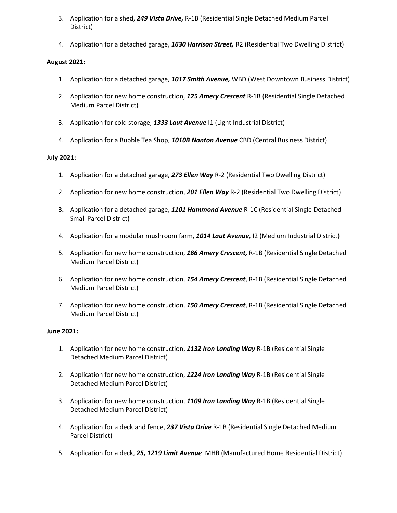- 3. Application for a shed, *249 Vista Drive,* R-1B (Residential Single Detached Medium Parcel District)
- 4. Application for a detached garage, *1630 Harrison Street,* R2 (Residential Two Dwelling District)

# **August 2021:**

- 1. Application for a detached garage, *1017 Smith Avenue,* WBD (West Downtown Business District)
- 2. Application for new home construction, *125 Amery Crescent* R-1B (Residential Single Detached Medium Parcel District)
- 3. Application for cold storage, *1333 Laut Avenue* I1 (Light Industrial District)
- 4. Application for a Bubble Tea Shop, *1010B Nanton Avenue* CBD (Central Business District)

# **July 2021:**

- 1. Application for a detached garage, *273 Ellen Way* R-2 (Residential Two Dwelling District)
- 2. Application for new home construction, *201 Ellen Way* R-2 (Residential Two Dwelling District)
- **3.** Application for a detached garage, *1101 Hammond Avenue* R-1C (Residential Single Detached Small Parcel District)
- 4. Application for a modular mushroom farm, *1014 Laut Avenue,* I2 (Medium Industrial District)
- 5. Application for new home construction, *186 Amery Crescent,* R-1B (Residential Single Detached Medium Parcel District)
- 6. Application for new home construction, *154 Amery Crescent*, R-1B (Residential Single Detached Medium Parcel District)
- 7. Application for new home construction, *150 Amery Crescent*, R-1B (Residential Single Detached Medium Parcel District)

# **June 2021:**

- 1. Application for new home construction, *1132 Iron Landing Way* R-1B (Residential Single Detached Medium Parcel District)
- 2. Application for new home construction, *1224 Iron Landing Way* R-1B (Residential Single Detached Medium Parcel District)
- 3. Application for new home construction, *1109 Iron Landing Way* R-1B (Residential Single Detached Medium Parcel District)
- 4. Application for a deck and fence, *237 Vista Drive* R-1B (Residential Single Detached Medium Parcel District)
- 5. Application for a deck, *25, 1219 Limit Avenue* MHR (Manufactured Home Residential District)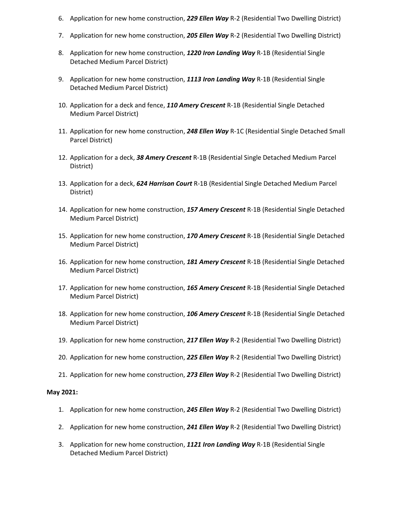- 6. Application for new home construction, *229 Ellen Way* R-2 (Residential Two Dwelling District)
- 7. Application for new home construction, *205 Ellen Way* R-2 (Residential Two Dwelling District)
- 8. Application for new home construction, *1220 Iron Landing Way* R-1B (Residential Single Detached Medium Parcel District)
- 9. Application for new home construction, *1113 Iron Landing Way* R-1B (Residential Single Detached Medium Parcel District)
- 10. Application for a deck and fence, *110 Amery Crescent* R-1B (Residential Single Detached Medium Parcel District)
- 11. Application for new home construction, *248 Ellen Way* R-1C (Residential Single Detached Small Parcel District)
- 12. Application for a deck, *38 Amery Crescent* R-1B (Residential Single Detached Medium Parcel District)
- 13. Application for a deck, *624 Harrison Court* R-1B (Residential Single Detached Medium Parcel District)
- 14. Application for new home construction, *157 Amery Crescent* R-1B (Residential Single Detached Medium Parcel District)
- 15. Application for new home construction, *170 Amery Crescent* R-1B (Residential Single Detached Medium Parcel District)
- 16. Application for new home construction, *181 Amery Crescent* R-1B (Residential Single Detached Medium Parcel District)
- 17. Application for new home construction, *165 Amery Crescent* R-1B (Residential Single Detached Medium Parcel District)
- 18. Application for new home construction, *106 Amery Crescent* R-1B (Residential Single Detached Medium Parcel District)
- 19. Application for new home construction, *217 Ellen Way* R-2 (Residential Two Dwelling District)
- 20. Application for new home construction, *225 Ellen Way* R-2 (Residential Two Dwelling District)
- 21. Application for new home construction, *273 Ellen Way* R-2 (Residential Two Dwelling District)

#### **May 2021:**

- 1. Application for new home construction, *245 Ellen Way* R-2 (Residential Two Dwelling District)
- 2. Application for new home construction, *241 Ellen Way* R-2 (Residential Two Dwelling District)
- 3. Application for new home construction, *1121 Iron Landing Way* R-1B (Residential Single Detached Medium Parcel District)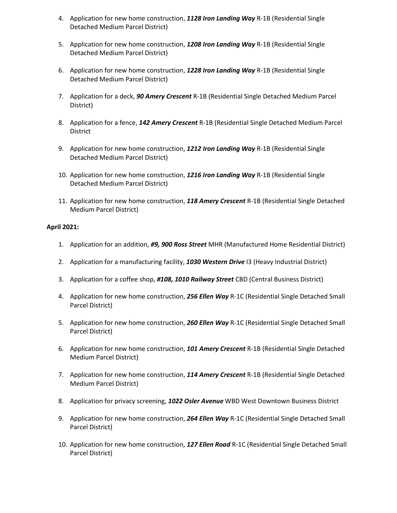- 4. Application for new home construction, *1128 Iron Landing Way* R-1B (Residential Single Detached Medium Parcel District)
- 5. Application for new home construction, *1208 Iron Landing Way* R-1B (Residential Single Detached Medium Parcel District)
- 6. Application for new home construction, *1228 Iron Landing Way* R-1B (Residential Single Detached Medium Parcel District)
- 7. Application for a deck, *90 Amery Crescent* R-1B (Residential Single Detached Medium Parcel District)
- 8. Application for a fence, *142 Amery Crescent* R-1B (Residential Single Detached Medium Parcel **District**
- 9. Application for new home construction, *1212 Iron Landing Way* R-1B (Residential Single Detached Medium Parcel District)
- 10. Application for new home construction, *1216 Iron Landing Way* R-1B (Residential Single Detached Medium Parcel District)
- 11. Application for new home construction, *118 Amery Crescent* R-1B (Residential Single Detached Medium Parcel District)

#### **April 2021:**

- 1. Application for an addition, *#9, 900 Ross Street* MHR (Manufactured Home Residential District)
- 2. Application for a manufacturing facility, *1030 Western Drive* I3 (Heavy Industrial District)
- 3. Application for a coffee shop, *#108, 1010 Railway Street* CBD (Central Business District)
- 4. Application for new home construction, *256 Ellen Way* R-1C (Residential Single Detached Small Parcel District)
- 5. Application for new home construction, *260 Ellen Way* R-1C (Residential Single Detached Small Parcel District)
- 6. Application for new home construction, *101 Amery Crescent* R-1B (Residential Single Detached Medium Parcel District)
- 7. Application for new home construction, *114 Amery Crescent* R-1B (Residential Single Detached Medium Parcel District)
- 8. Application for privacy screening, *1022 Osler Avenue* WBD West Downtown Business District
- 9. Application for new home construction, *264 Ellen Way* R-1C (Residential Single Detached Small Parcel District)
- 10. Application for new home construction, *127 Ellen Road* R-1C (Residential Single Detached Small Parcel District)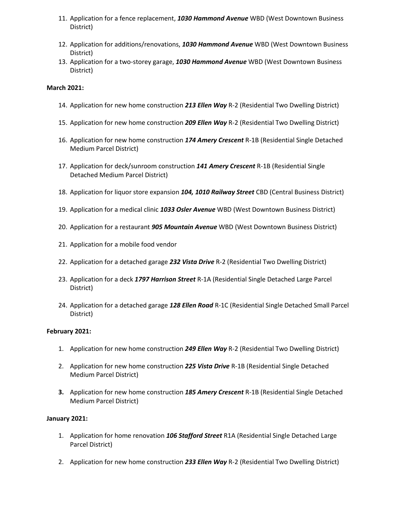- 11. Application for a fence replacement, *1030 Hammond Avenue* WBD (West Downtown Business District)
- 12. Application for additions/renovations, *1030 Hammond Avenue* WBD (West Downtown Business District)
- 13. Application for a two-storey garage, *1030 Hammond Avenue* WBD (West Downtown Business District)

#### **March 2021:**

- 14. Application for new home construction *213 Ellen Way* R-2 (Residential Two Dwelling District)
- 15. Application for new home construction *209 Ellen Way* R-2 (Residential Two Dwelling District)
- 16. Application for new home construction *174 Amery Crescent* R-1B (Residential Single Detached Medium Parcel District)
- 17. Application for deck/sunroom construction *141 Amery Crescent* R-1B (Residential Single Detached Medium Parcel District)
- 18. Application for liquor store expansion *104, 1010 Railway Street* CBD (Central Business District)
- 19. Application for a medical clinic *1033 Osler Avenue* WBD (West Downtown Business District)
- 20. Application for a restaurant *905 Mountain Avenue* WBD (West Downtown Business District)
- 21. Application for a mobile food vendor
- 22. Application for a detached garage *232 Vista Drive* R-2 (Residential Two Dwelling District)
- 23. Application for a deck *1797 Harrison Street* R-1A (Residential Single Detached Large Parcel District)
- 24. Application for a detached garage *128 Ellen Road* R-1C (Residential Single Detached Small Parcel District)

# **February 2021:**

- 1. Application for new home construction *249 Ellen Way* R-2 (Residential Two Dwelling District)
- 2. Application for new home construction *225 Vista Drive* R-1B (Residential Single Detached Medium Parcel District)
- **3.** Application for new home construction *185 Amery Crescent* R-1B (Residential Single Detached Medium Parcel District)

# **January 2021:**

- 1. Application for home renovation *106 Stafford Street* R1A (Residential Single Detached Large Parcel District)
- 2. Application for new home construction *233 Ellen Way* R-2 (Residential Two Dwelling District)